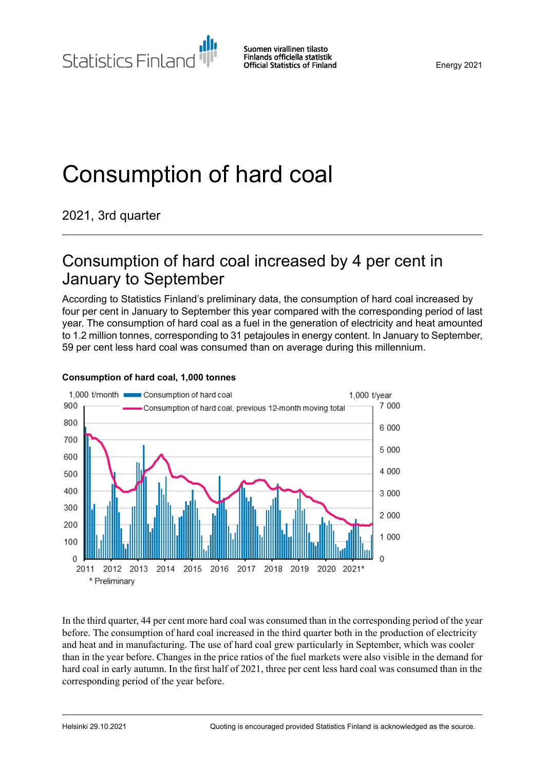Statistics Finland

# Consumption of hard coal

2021, 3rd quarter

### Consumption of hard coal increased by 4 per cent in January to September

According to Statistics Finland's preliminary data, the consumption of hard coal increased by four per cent in January to September this year compared with the corresponding period of last year. The consumption of hard coal as a fuel in the generation of electricity and heat amounted to 1.2 million tonnes, corresponding to 31 petajoules in energy content. In January to September, 59 per cent less hard coal was consumed than on average during this millennium.



#### **Consumption of hard coal, 1,000 tonnes**

In the third quarter, 44 per cent more hard coal was consumed than in the corresponding period of the year before. The consumption of hard coal increased in the third quarter both in the production of electricity and heat and in manufacturing. The use of hard coal grew particularly in September, which was cooler than in the year before. Changes in the price ratios of the fuel markets were also visible in the demand for hard coal in early autumn. In the first half of 2021, three per cent less hard coal was consumed than in the corresponding period of the year before.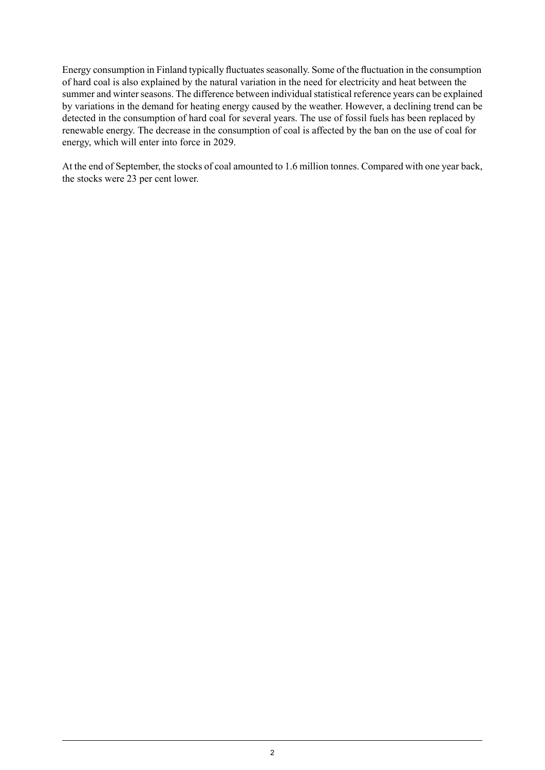Energy consumption in Finland typically fluctuates seasonally. Some of the fluctuation in the consumption of hard coal is also explained by the natural variation in the need for electricity and heat between the summer and winter seasons. The difference between individual statistical reference years can be explained by variations in the demand for heating energy caused by the weather. However, a declining trend can be detected in the consumption of hard coal for several years. The use of fossil fuels has been replaced by renewable energy. The decrease in the consumption of coal is affected by the ban on the use of coal for energy, which will enter into force in 2029.

At the end of September, the stocks of coal amounted to 1.6 million tonnes. Compared with one year back, the stocks were 23 per cent lower.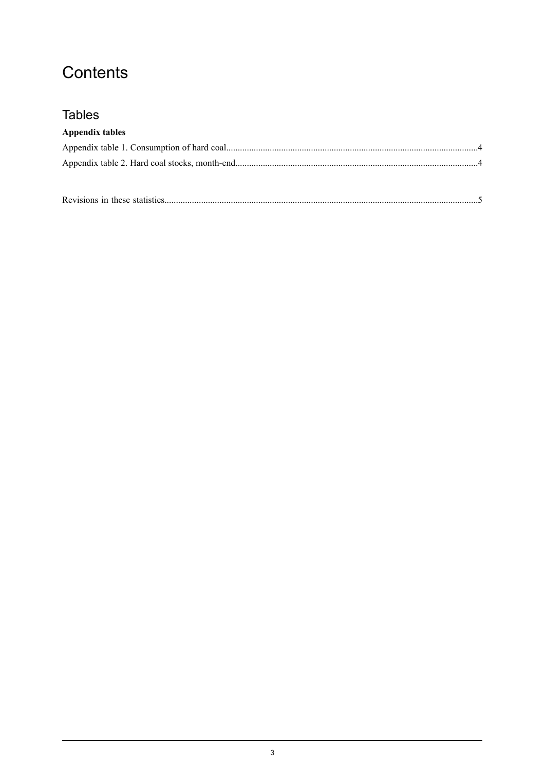### Contents

### **Tables**

#### **Appendix tables**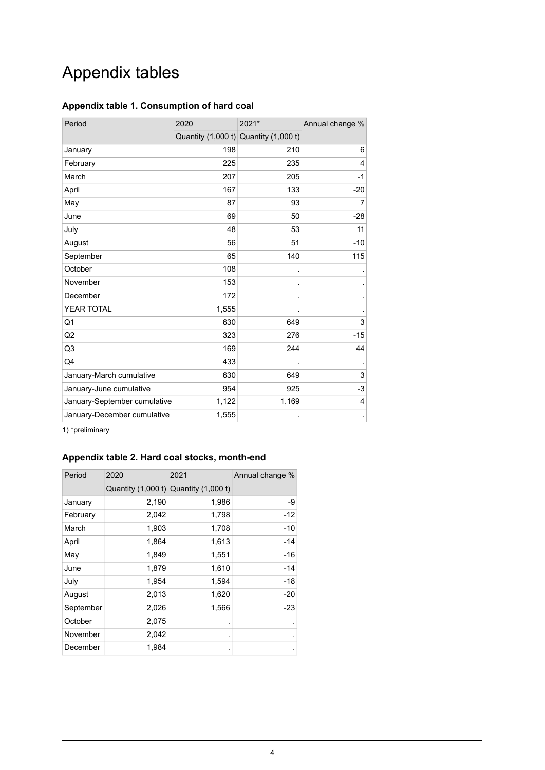## Appendix tables

#### <span id="page-3-0"></span>**Appendix table 1. Consumption of hard coal**

| Period                       | 2020  | 2021*                                     | Annual change % |  |
|------------------------------|-------|-------------------------------------------|-----------------|--|
|                              |       | Quantity $(1,000 t)$ Quantity $(1,000 t)$ |                 |  |
| January                      | 198   | 210                                       | 6               |  |
| February                     | 225   | 235                                       | $\overline{4}$  |  |
| March                        | 207   | 205                                       | $-1$            |  |
| April                        | 167   | 133                                       | $-20$           |  |
| May                          | 87    | 93                                        | 7               |  |
| June                         | 69    | 50                                        | $-28$           |  |
| July                         | 48    | 53                                        | 11              |  |
| August                       | 56    | 51                                        | $-10$           |  |
| September                    | 65    | 140                                       | 115             |  |
| October                      | 108   |                                           |                 |  |
| November                     | 153   |                                           |                 |  |
| December                     | 172   |                                           |                 |  |
| YEAR TOTAL                   | 1,555 |                                           |                 |  |
| Q <sub>1</sub>               | 630   | 649                                       | 3               |  |
| Q <sub>2</sub>               | 323   | 276                                       | $-15$           |  |
| Q3                           | 169   | 244                                       | 44              |  |
| Q4                           | 433   |                                           |                 |  |
| January-March cumulative     | 630   | 649                                       | 3               |  |
| January-June cumulative      | 954   | 925                                       | $-3$            |  |
| January-September cumulative | 1,122 | 1,169                                     | 4               |  |
| January-December cumulative  | 1,555 |                                           |                 |  |

<span id="page-3-1"></span>1) \*preliminary

#### **Appendix table 2. Hard coal stocks, month-end**

| Period    | 2020                                      | 2021  | Annual change % |  |
|-----------|-------------------------------------------|-------|-----------------|--|
|           | Quantity $(1,000 t)$ Quantity $(1,000 t)$ |       |                 |  |
| January   | 2,190                                     | 1,986 | -9              |  |
| February  | 2,042                                     | 1,798 | -12             |  |
| March     | 1,903                                     | 1,708 | -10             |  |
| April     | 1,864                                     | 1,613 | -14             |  |
| May       | 1,849                                     | 1,551 | $-16$           |  |
| June      | 1,879                                     | 1,610 | -14             |  |
| July      | 1,954                                     | 1,594 | $-18$           |  |
| August    | 2,013                                     | 1,620 | $-20$           |  |
| September | 2,026                                     | 1,566 | $-23$           |  |
| October   | 2,075                                     |       |                 |  |
| November  | 2,042                                     |       |                 |  |
| December  | 1,984                                     |       |                 |  |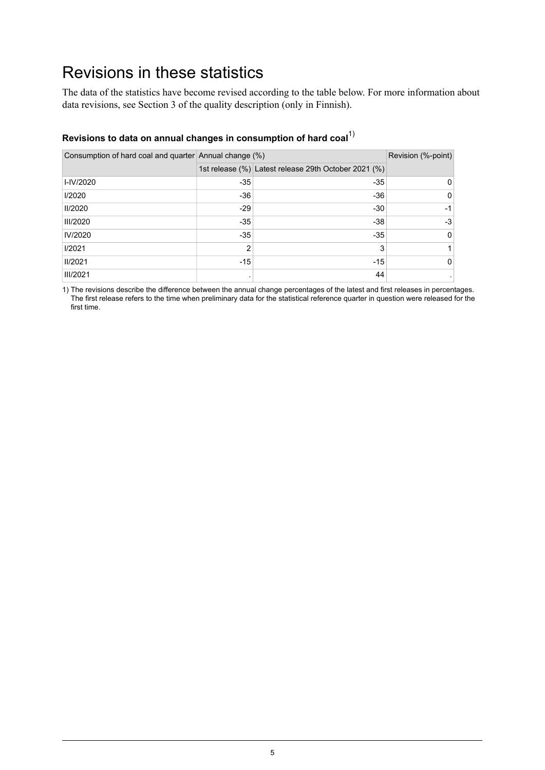### <span id="page-4-0"></span>Revisions in these statistics

The data of the statistics have become revised according to the table below. For more information about data revisions, see Section 3 of the quality description (only in Finnish).

| Revisions to data on annual changes in consumption of naru coar |                |                                                      |    |  |  |  |  |  |
|-----------------------------------------------------------------|----------------|------------------------------------------------------|----|--|--|--|--|--|
| Consumption of hard coal and quarter Annual change (%)          |                | Revision (%-point)                                   |    |  |  |  |  |  |
|                                                                 |                | 1st release (%) Latest release 29th October 2021 (%) |    |  |  |  |  |  |
| I-IV/2020                                                       | $-35$          | $-35$                                                | 0  |  |  |  |  |  |
| 1/2020                                                          | $-36$          | -36                                                  | 0  |  |  |  |  |  |
| <b>II/2020</b>                                                  | $-29$          | $-30$                                                | -1 |  |  |  |  |  |
| <b>III/2020</b>                                                 | $-35$          | $-38$                                                | -3 |  |  |  |  |  |
| IV/2020                                                         | $-35$          | $-35$                                                | 0  |  |  |  |  |  |
| 1/2021                                                          | $\mathfrak{p}$ | 3                                                    | 1  |  |  |  |  |  |
| <b>II/2021</b>                                                  | $-15$          | $-15$                                                | 0  |  |  |  |  |  |
| <b>III/2021</b>                                                 |                | 44                                                   |    |  |  |  |  |  |

### **Revisions to data on annual changes in consumption of hard coal**1)

1) The revisions describe the difference between the annual change percentages of the latest and first releases in percentages. The first release refers to the time when preliminary data for the statistical reference quarter in question were released for the first time.